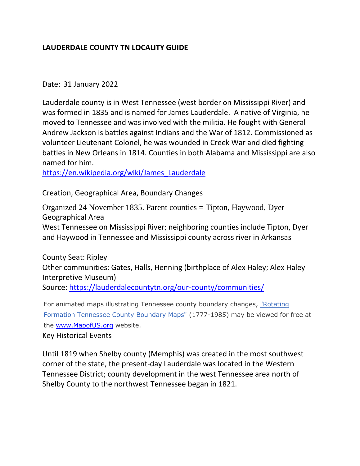## **LAUDERDALE COUNTY TN LOCALITY GUIDE**

## Date: 31 January 2022

Lauderdale county is in West Tennessee (west border on Mississippi River) and was formed in 1835 and is named for James Lauderdale. A native of Virginia, he moved to Tennessee and was involved with the militia. He fought with General Andrew Jackson is battles against Indians and the War of 1812. Commissioned as volunteer Lieutenant Colonel, he was wounded in Creek War and died fighting battles in New Orleans in 1814. Counties in both Alabama and Mississippi are also named for him.

[https://en.wikipedia.org/wiki/James\\_Lauderdale](https://en.wikipedia.org/wiki/James_Lauderdale)

Creation, Geographical Area, Boundary Changes

Organized 24 November 1835. Parent counties = Tipton, Haywood, Dyer Geographical Area West Tennessee on Mississippi River; neighboring counties include Tipton, Dyer and Haywood in Tennessee and Mississippi county across river in Arkansas

County Seat: Ripley Other communities: Gates, Halls, Henning (birthplace of Alex Haley; Alex Haley Interpretive Museum) Source:<https://lauderdalecountytn.org/our-county/communities/>

For animated maps illustrating Tennessee county boundary changes, ["Rotating](http://www.mapofus.org/tennessee/)  [Formation Tennessee County Boundary Maps"](http://www.mapofus.org/tennessee/) (1777-1985) may be viewed for free at the [www.MapofUS.org](http://www.mapofus.org/) website.

Key Historical Events

Until 1819 when Shelby county (Memphis) was created in the most southwest corner of the state, the present-day Lauderdale was located in the Western Tennessee District; county development in the west Tennessee area north of Shelby County to the northwest Tennessee began in 1821.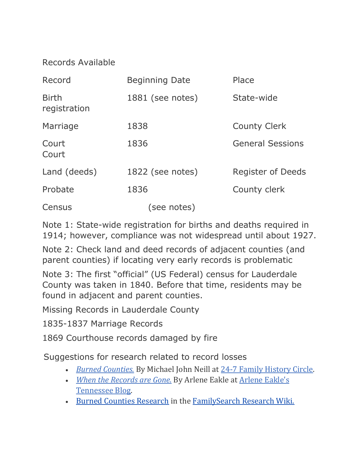# Records Available

| Record                       | <b>Beginning Date</b> | Place                    |
|------------------------------|-----------------------|--------------------------|
| <b>Birth</b><br>registration | 1881 (see notes)      | State-wide               |
| Marriage                     | 1838                  | <b>County Clerk</b>      |
| Court<br>Court               | 1836                  | <b>General Sessions</b>  |
| Land (deeds)                 | 1822 (see notes)      | <b>Register of Deeds</b> |
| Probate                      | 1836                  | County clerk             |
| Census                       | (see notes)           |                          |

Note 1: State-wide registration for births and deaths required in 1914; however, compliance was not widespread until about 1927.

Note 2: Check land and deed records of adjacent counties (and parent counties) if locating very early records is problematic

Note 3: The first "official" (US Federal) census for Lauderdale County was taken in 1840. Before that time, residents may be found in adjacent and parent counties.

Missing Records in Lauderdale County

1835-1837 Marriage Records

1869 Courthouse records damaged by fire

Suggestions for research related to record losses

- *[Burned Counties.](http://blogs.ancestry.com/circle/?p=2424)* By Michael John Neill at [24-7 Family History Circle.](https://blogs.ancestry.com/circle/)
- *[When the Records are Gone.](http://tnblog.arleneeakle.com/2009/04/13/when-the-records-are-gone/)* By Arlene Eakle at [Arlene Eakle's](http://tnblog.arleneeakle.com/)  [Tennessee Blog.](http://tnblog.arleneeakle.com/)
- [Burned Counties Research](https://www.familysearch.org/wiki/en/Burned_Counties_Research) in the [FamilySearch Research Wiki.](https://www.familysearch.org/wiki/en/Main_Page)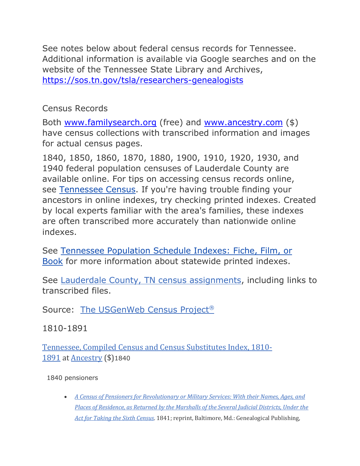See notes below about federal census records for Tennessee. Additional information is available via Google searches and on the website of the Tennessee State Library and Archives, <https://sos.tn.gov/tsla/researchers-genealogists>

# Census Records

Both [www.familysearch.org](http://www.familysearch.org/) (free) and [www.ancestry.com](http://www.ancestry.com/) (\$) have census collections with transcribed information and images for actual census pages.

1840, 1850, 1860, 1870, 1880, 1900, 1910, 1920, 1930, and 1940 federal population censuses of Lauderdale County are available online. For tips on accessing census records online, see [Tennessee Census.](https://www.familysearch.org/wiki/en/Tennessee_Census) If you're having trouble finding your ancestors in online indexes, try checking printed indexes. Created by local experts familiar with the area's families, these indexes are often transcribed more accurately than nationwide online indexes.

See [Tennessee Population Schedule Indexes: Fiche, Film, or](https://www.familysearch.org/wiki/en/Tennessee_Population_Schedule_Indexes:_Fiche,_Film,_or_Book)  [Book](https://www.familysearch.org/wiki/en/Tennessee_Population_Schedule_Indexes:_Fiche,_Film,_or_Book) for more information about statewide printed indexes.

See [Lauderdale County, TN census assignments,](http://www.us-census.org/states/tennessee/l-tn.htm#Lauderdale) including links to transcribed files.

Source: [The USGenWeb Census](http://www.us-census.org/) Project®

1810-1891

[Tennessee, Compiled Census and Census Substitutes Index, 1810-](http://search.ancestry.com/search/db.aspx?dbid=3574) [1891](http://search.ancestry.com/search/db.aspx?dbid=3574) at [Ancestry](http://search.ancestry.com/) (\$)1840

1840 pensioners

• *[A Census of Pensioners for Revolutionary or Military Services: With their Names, Ages, and](http://www.worldcat.org/oclc/2648500)  [Places of Residence, as Returned by the Marshalls of the Several Judicial Districts, Under the](http://www.worldcat.org/oclc/2648500)  [Act for Taking the Sixth Census](http://www.worldcat.org/oclc/2648500)*. 1841; reprint, Baltimore, Md.: Genealogical Publishing,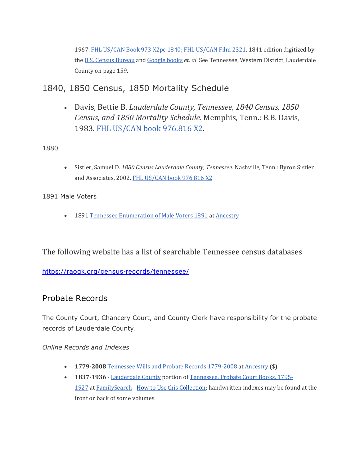1967. [FHL US/CAN Book 973 X2pc 1840; FHL US/CAN Film 2321.](https://www.familysearch.org/search/catalog/282860) 1841 edition digitized by the [U.S. Census Bureau](http://www2.census.gov/prod2/decennial/documents/1840c-01.pdf) and [Google books](http://books.google.com/books?id=W7JYAAAAMAAJ) *et. al*. See Tennessee, Western District, Lauderdale County on page 159.

1840, 1850 Census, 1850 Mortality Schedule

• Davis, Bettie B. *Lauderdale County, Tennessee, 1840 Census, 1850 Census, and 1850 Mortality Schedule*. Memphis, Tenn.: B.B. Davis, 1983. [FHL US/CAN book 976.816 X2.](https://www.familysearch.org/search/catalog/65151)

1880

• Sistler, Samuel D. *1880 Census Lauderdale County, Tennessee*. Nashville, Tenn.: Byron Sistler and Associates, 2002. [FHL US/CAN book 976.816 X2](https://www.familysearch.org/search/catalog/1045453)

1891 Male Voters

• 1891 [Tennessee Enumeration of Male Voters 1891](http://search.ancestry.com/search/db.aspx?dbid=2884) at [Ancestry](http://search.ancestry.com/)

The following website has a list of searchable Tennessee census databases

<https://raogk.org/census-records/tennessee/>

# Probate Records

The County Court, Chancery Court, and County Clerk have responsibility for the probate records of Lauderdale County.

## *Online Records and Indexes*

- **1779-2008** [Tennessee Wills and Probate Records 1779-2008](http://search.ancestry.com/search/db.aspx?dbid=9176) at [Ancestry](http://search.ancestry.com/) (\$)
- **1837-1936** [Lauderdale County](https://www.familysearch.org/search/image/index?owc=M6QS-Y66%3A179635601%3Fcc%3D1909088) portion of [Tennessee, Probate Court Books, 1795-](https://www.familysearch.org/search/collection/1909088) [1927](https://www.familysearch.org/search/collection/1909088) at [FamilySearch](https://www.familysearch.org/search) - [How to Use this Collection;](https://www.familysearch.org/wiki/en/Tennessee_Probate_Court_Books_-_FamilySearch_Historical_Records) handwritten indexes may be found at the front or back of some volumes.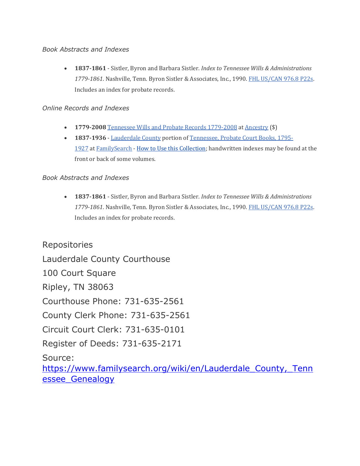#### *Book Abstracts and Indexes*

• **1837-1861** - Sistler, Byron and Barbara Sistler. *Index to Tennessee Wills & Administrations 1779-1861*. Nashville, Tenn. Byron Sistler & Associates, Inc., 1990. [FHL US/CAN 976.8 P22s.](https://www.familysearch.org/search/catalog/615022) Includes an index for probate records.

#### *Online Records and Indexes*

- **1779-2008** [Tennessee Wills and Probate Records 1779-2008](http://search.ancestry.com/search/db.aspx?dbid=9176) at [Ancestry](http://search.ancestry.com/) (\$)
- **1837-1936** [Lauderdale](https://www.familysearch.org/search/image/index?owc=M6QS-Y66%3A179635601%3Fcc%3D1909088) County portion of [Tennessee, Probate Court Books, 1795-](https://www.familysearch.org/search/collection/1909088) [1927](https://www.familysearch.org/search/collection/1909088) at [FamilySearch](https://www.familysearch.org/search) - [How to Use this Collection;](https://www.familysearch.org/wiki/en/Tennessee_Probate_Court_Books_-_FamilySearch_Historical_Records) handwritten indexes may be found at the front or back of some volumes.

### *Book Abstracts and Indexes*

• **1837-1861** - Sistler, Byron and Barbara Sistler. *Index to Tennessee Wills & Administrations 1779-1861*. Nashville, Tenn. Byron Sistler & Associates, Inc., 1990. [FHL US/CAN 976.8 P22s.](https://www.familysearch.org/search/catalog/615022) Includes an index for probate records.

Repositories Lauderdale County Courthouse 100 Court Square Ripley, TN 38063 Courthouse Phone: 731-635-2561 County Clerk Phone: 731-635-2561 Circuit Court Clerk: 731-635-0101 Register of Deeds: 731-635-2171 Source: [https://www.familysearch.org/wiki/en/Lauderdale\\_County,\\_Tenn](https://www.familysearch.org/wiki/en/Lauderdale_County,_Tennessee_Genealogy) essee Genealogy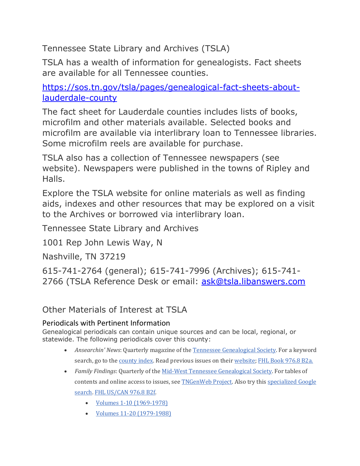Tennessee State Library and Archives (TSLA)

TSLA has a wealth of information for genealogists. Fact sheets are available for all Tennessee counties.

[https://sos.tn.gov/tsla/pages/genealogical-fact-sheets-about](https://sos.tn.gov/tsla/pages/genealogical-fact-sheets-about-lauderdale-county)[lauderdale-county](https://sos.tn.gov/tsla/pages/genealogical-fact-sheets-about-lauderdale-county)

The fact sheet for Lauderdale counties includes lists of books, microfilm and other materials available. Selected books and microfilm are available via interlibrary loan to Tennessee libraries. Some microfilm reels are available for purchase.

TSLA also has a collection of Tennessee newspapers (see website). Newspapers were published in the towns of Ripley and Halls.

Explore the TSLA website for online materials as well as finding aids, indexes and other resources that may be explored on a visit to the Archives or borrowed via interlibrary loan.

Tennessee State Library and Archives

1001 Rep John Lewis Way, N

Nashville, TN 37219

615-741-2764 (general); 615-741-7996 (Archives); 615-741- 2766 (TSLA Reference Desk or email: [ask@tsla.libanswers.com](mailto:ask@tsla.libanswers.com)

Other Materials of Interest at TSLA

# Periodicals with Pertinent Information

Genealogical periodicals can contain unique sources and can be local, regional, or statewide. The following periodicals cover this county:

- *Ansearchin' News*: Quarterly magazine of the [Tennessee Genealogical Society.](http://www.tngs.org/) For a keyword search, go to the [county index.](http://www.tngs.org/Ansearchn-News) Read previous issues on their [website;](http://www.tngs.org/Ansearchn-News) [FHL Book 976.8 B2a.](https://www.familysearch.org/search/catalog/44514)
- *Family Findings*: Quarterly of the [Mid-West Tennessee Genealogical Society.](https://mwtgs.wordpress.com/) For tables of contents and online access to issues, see **TNGenWeb Project**. Also try this specialized Google [search.](http://www.google.com/search?hl=en&rls=com.microsoft%3Aen-us&q=site%3Awww.tngenweb.org+%22Family+Findings%22+%22Carroll+County%22&aq=f&aqi=&aql=&oq=&gs_rfai=) [FHL US/CAN 976.8 B2f.](https://www.familysearch.org/search/catalog/40026)
	- [Volumes 1-10 \(1969-1978\)](http://tngenweb.org/madison/family-findings-index-1-10/)
	- [Volumes 11-20 \(1979-1988\)](http://tngenweb.org/madison/family-findings-index-xi-xx/)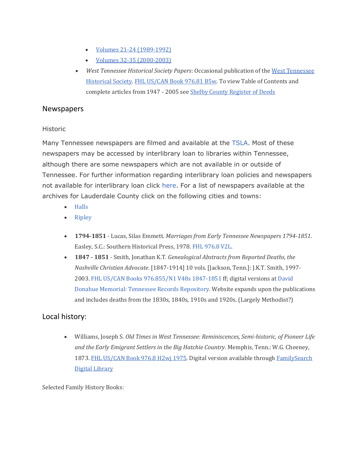- [Volumes 21-24 \(1989-1992\)](http://tngenweb.org/madison/family-findings-index-xxi-xxiv/)
- [Volumes 32-35 \(2000-2003\)](http://tngenweb.org/madison/family-findings-index-xxxii-xxxv/)
- *West Tennessee Historical Society Papers*: Occasional publication of the [West Tennessee](https://wths-tn.org/)  [Historical Society.](https://wths-tn.org/) [FHL US/CAN Book 976.81 B5w.](https://www.familysearch.org/search/catalog/233239) To view Table of Contents and complete articles from 1947 - 2005 see [Shelby County Register of Deeds](http://register.shelby.tn.us/wths/)

### Newspapers

#### Historic

Many Tennessee newspapers are filmed and available at the [TSLA.](http://sos.tn.gov/products/tsla/newspapers-microfilm-tennessee-state-library-and-archives) Most of these newspapers may be accessed by interlibrary loan to libraries within Tennessee, although there are some newspapers which are not available in or outside of Tennessee. For further information regarding interlibrary loan policies and newspapers not available for interlibrary loan click [here.](http://www.tn.gov/tsla/history/mailill.htm#newspapers) For a list of newspapers available at the archives for Lauderdale County click on the following cities and towns:

- [Halls](http://sos.tn.gov/products/tsla/newspapers-microfilm-tennessee-state-library-and-archives-h#Halls)
- [Ripley](http://sos.tn.gov/products/tsla/newspapers-microfilm-tennessee-state-library-and-archives-r#Ripley)
- **1794-1851** Lucas, Silas Emmett. *Marriages from Early Tennessee Newspapers 1794-1851*. Easley, S.C.: Southern Historical Press, 1978. [FHL 976.8 V2L.](https://www.familysearch.org/search/catalog/results#count=20&query=%2Bcall_number%3A%22976.8+V2L*%22)
- **1847 - 1851** Smith, Jonathan K.T. *Genealogical Abstracts from Reported Deaths, the Nashville Christian Advocate*. [1847-1914] 10 vols. [Jackson, Tenn.]: J.K.T. Smith, 1997- 2003. FHL US/CAN [Books 976.855/N1 V48s 1847-1851](https://www.familysearch.org/search/catalog/789366) ff; digital versions at [David](http://www.tngenweb.org/records/tn_wide/obits/nca/index.html)  [Donahue Memorial: Tennessee Records Repository.](http://www.tngenweb.org/records/tn_wide/obits/nca/index.html) Website expands upon the publications and includes deaths from the 1830s, 1840s, 1910s and 1920s. (Largely Methodist?)

## Local history:

• Williams, Joseph S. *Old Times in West Tennessee: Reminiscences, Semi-historic, of Pioneer Life and the Early Emigrant Settlers in the Big Hatchie Country*. Memphis, Tenn.: W.G. Cheeney, 1873. [FHL US/CAN Book 976.8 H2wj 1975.](https://www.familysearch.org/search/catalog/221822) Digital version available through FamilySearch [Digital Library](https://www.familysearch.org/library/books/records/item/123867-old-times-in-west-tennessee-reminiscences-semi-historic-of-pioneer-life-and-the-early-emigrant-settlers-in-the-big-hatchie-country?offset=1)

Selected Family History Books: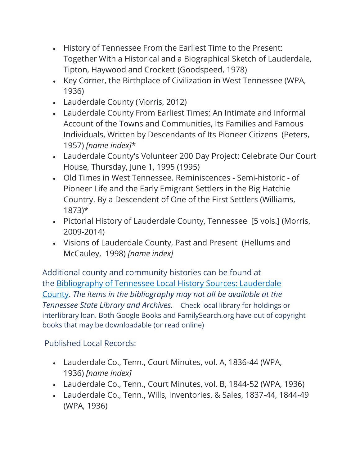- History of Tennessee From the Earliest Time to the Present: Together With a Historical and a Biographical Sketch of Lauderdale, Tipton, Haywood and Crockett (Goodspeed, 1978)
- Key Corner, the Birthplace of Civilization in West Tennessee (WPA, 1936)
- Lauderdale County (Morris, 2012)
- Lauderdale County From Earliest Times; An Intimate and Informal Account of the Towns and Communities, Its Families and Famous Individuals, Written by Descendants of Its Pioneer Citizens (Peters, 1957) *[name index]*\*
- Lauderdale County's Volunteer 200 Day Project: Celebrate Our Court House, Thursday, June 1, 1995 (1995)
- Old Times in West Tennessee. Reminiscences Semi-historic of Pioneer Life and the Early Emigrant Settlers in the Big Hatchie Country. By a Descendent of One of the First Settlers (Williams, 1873)\*
- Pictorial History of Lauderdale County, Tennessee [5 vols.] (Morris, 2009-2014)
- Visions of Lauderdale County, Past and Present (Hellums and McCauley, 1998) *[name index]*

Additional county and community histories can be found at the [Bibliography of Tennessee Local History Sources: Lauderdale](https://sos.tn.gov/tsla/pages/genealogical-fact-sheets-about-lauderdale-county#Z)  [County.](https://sos.tn.gov/tsla/pages/genealogical-fact-sheets-about-lauderdale-county#Z) *The items in the bibliography may not all be available at the Tennessee State Library and Archives.* Check local library for holdings or interlibrary loan. Both Google Books and FamilySearch.org have out of copyright books that may be downloadable (or read online)

Published Local Records:

- Lauderdale Co., Tenn., Court Minutes, vol. A, 1836-44 (WPA, 1936) *[name index]*
- Lauderdale Co., Tenn., Court Minutes, vol. B, 1844-52 (WPA, 1936)
- Lauderdale Co., Tenn., Wills, Inventories, & Sales, 1837-44, 1844-49 (WPA, 1936)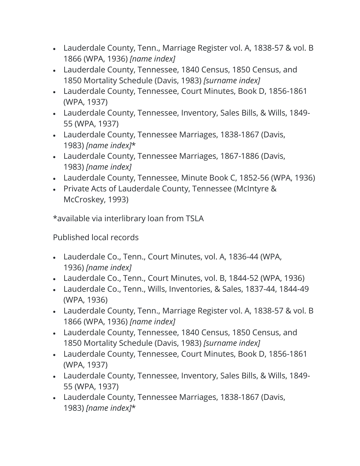- Lauderdale County, Tenn., Marriage Register vol. A, 1838-57 & vol. B 1866 (WPA, 1936) *[name index]*
- Lauderdale County, Tennessee, 1840 Census, 1850 Census, and 1850 Mortality Schedule (Davis, 1983) *[surname index]*
- Lauderdale County, Tennessee, Court Minutes, Book D, 1856-1861 (WPA, 1937)
- Lauderdale County, Tennessee, Inventory, Sales Bills, & Wills, 1849- 55 (WPA, 1937)
- Lauderdale County, Tennessee Marriages, 1838-1867 (Davis, 1983) *[name index]*\*
- Lauderdale County, Tennessee Marriages, 1867-1886 (Davis, 1983) *[name index]*
- Lauderdale County, Tennessee, Minute Book C, 1852-56 (WPA, 1936)
- Private Acts of Lauderdale County, Tennessee (McIntyre & McCroskey, 1993)

\*available via interlibrary loan from TSLA

Published local records

- Lauderdale Co., Tenn., Court Minutes, vol. A, 1836-44 (WPA, 1936) *[name index]*
- Lauderdale Co., Tenn., Court Minutes, vol. B, 1844-52 (WPA, 1936)
- Lauderdale Co., Tenn., Wills, Inventories, & Sales, 1837-44, 1844-49 (WPA, 1936)
- Lauderdale County, Tenn., Marriage Register vol. A, 1838-57 & vol. B 1866 (WPA, 1936) *[name index]*
- Lauderdale County, Tennessee, 1840 Census, 1850 Census, and 1850 Mortality Schedule (Davis, 1983) *[surname index]*
- Lauderdale County, Tennessee, Court Minutes, Book D, 1856-1861 (WPA, 1937)
- Lauderdale County, Tennessee, Inventory, Sales Bills, & Wills, 1849- 55 (WPA, 1937)
- Lauderdale County, Tennessee Marriages, 1838-1867 (Davis, 1983) *[name index]*\*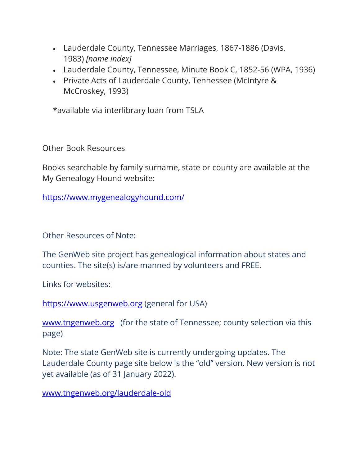- Lauderdale County, Tennessee Marriages, 1867-1886 (Davis, 1983) *[name index]*
- Lauderdale County, Tennessee, Minute Book C, 1852-56 (WPA, 1936)
- Private Acts of Lauderdale County, Tennessee (McIntyre & McCroskey, 1993)

\*available via interlibrary loan from TSLA

Other Book Resources

Books searchable by family surname, state or county are available at the My Genealogy Hound website:

<https://www.mygenealogyhound.com/>

Other Resources of Note:

The GenWeb site project has genealogical information about states and counties. The site(s) is/are manned by volunteers and FREE.

Links for websites:

[https://www.usgenweb.org](https://www.usgenweb.org/) (general for USA)

[www.tngenweb.org](http://www.tngenweb.org/) (for the state of Tennessee; county selection via this page)

Note: The state GenWeb site is currently undergoing updates. The Lauderdale County page site below is the "old" version. New version is not yet available (as of 31 January 2022).

[www.tngenweb.org/lauderdale-old](http://www.tngenweb.org/lauderdale-old)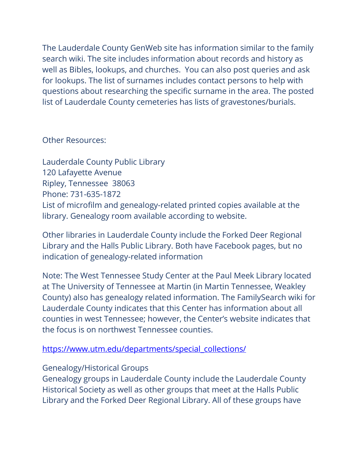The Lauderdale County GenWeb site has information similar to the family search wiki. The site includes information about records and history as well as Bibles, lookups, and churches. You can also post queries and ask for lookups. The list of surnames includes contact persons to help with questions about researching the specific surname in the area. The posted list of Lauderdale County cemeteries has lists of gravestones/burials.

Other Resources:

Lauderdale County Public Library 120 Lafayette Avenue Ripley, Tennessee 38063 Phone: 731-635-1872 List of microfilm and genealogy-related printed copies available at the library. Genealogy room available according to website.

Other libraries in Lauderdale County include the Forked Deer Regional Library and the Halls Public Library. Both have Facebook pages, but no indication of genealogy-related information

Note: The West Tennessee Study Center at the Paul Meek Library located at The University of Tennessee at Martin (in Martin Tennessee, Weakley County) also has genealogy related information. The FamilySearch wiki for Lauderdale County indicates that this Center has information about all counties in west Tennessee; however, the Center's website indicates that the focus is on northwest Tennessee counties.

[https://www.utm.edu/departments/special\\_collections/](https://www.utm.edu/departments/special_collections/)

# Genealogy/Historical Groups

Genealogy groups in Lauderdale County include the Lauderdale County Historical Society as well as other groups that meet at the Halls Public Library and the Forked Deer Regional Library. All of these groups have